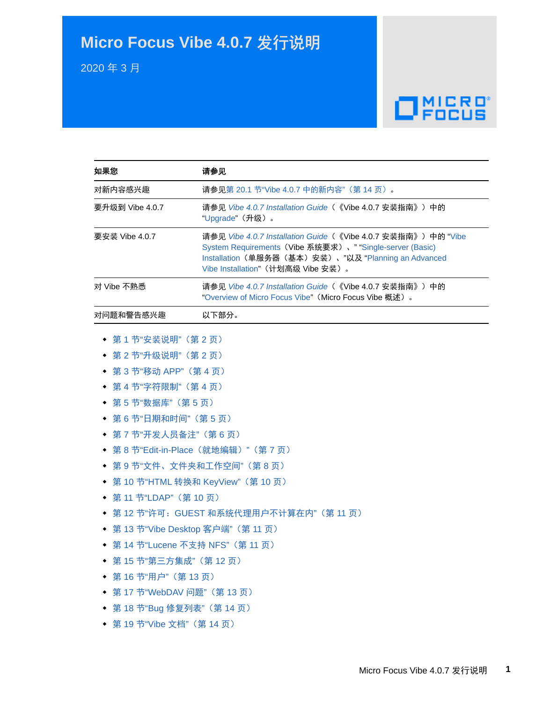# **Micro Focus Vibe 4.0.7** 发行说明

2020 年 3 月

# $\Box$ <sup>MICRO</sup>

| 如果您                                    | 请参见                                                                                                                                                                                                                                   |  |
|----------------------------------------|---------------------------------------------------------------------------------------------------------------------------------------------------------------------------------------------------------------------------------------|--|
| 对新内容感兴趣                                | 请参见第 20.1 节"Vibe 4.0.7 中的新内容" (第 14 页)。                                                                                                                                                                                               |  |
| 要升级到 Vibe 4.0.7                        | 请参见 Vibe 4.0.7 Installation Guide (《Vibe 4.0.7 安装指南》) 中的<br>"Upgrade" (升级)。                                                                                                                                                           |  |
| 要安装 Vibe 4.0.7                         | 请参见 <i>Vibe 4.0.7 Installation Guide</i> (《Vi <b>be 4.0.7</b> 安装指南》)中的 "Vibe<br>System Requirements (Vibe 系统要求)、 "Single-server (Basic)<br>Installation (单服务器(基本) 安装)、"以及 "Planning an Advanced<br>Vibe Installation" (计划高级 Vibe 安装)。 |  |
| 对 Vibe 不熟悉                             | 请参见 Vibe 4.0.7 Installation Guide (《Vibe 4.0.7 安装指南》) 中的<br>"Overview of Micro Focus Vibe" (Micro Focus Vibe 概述).                                                                                                                     |  |
| 对问题和警告感兴趣                              | 以下部分。                                                                                                                                                                                                                                 |  |
| 第1节"安装说明"(第2页)                         |                                                                                                                                                                                                                                       |  |
| 第 2 节"升级说明"(第 2 页)                     |                                                                                                                                                                                                                                       |  |
| ◆ 第3节"移动 APP" (第4页)                    |                                                                                                                                                                                                                                       |  |
| 第 4 节"字符限制"(第 4 页)<br>٠                |                                                                                                                                                                                                                                       |  |
| 第5节"数据库"(第5页)<br>٠                     |                                                                                                                                                                                                                                       |  |
| ◆ 第6节"日期和时间"(第5页)                      |                                                                                                                                                                                                                                       |  |
| • 第7节"开发人员备注"(第6页)                     |                                                                                                                                                                                                                                       |  |
| 第8节"Edit-in-Place (就地编辑)"(第7页)<br>٠    |                                                                                                                                                                                                                                       |  |
| 第9节"文件、文件夹和工作空间"(第8页)<br>٠             |                                                                                                                                                                                                                                       |  |
| 第 10 节"HTML 转换和 KeyView" (第 10 页)<br>٠ |                                                                                                                                                                                                                                       |  |
| ◆ 第11 节"LDAP" (第10页)                   |                                                                                                                                                                                                                                       |  |
| 第12节"许可: GUEST 和系统代理用户不计算在内" (第11页)    |                                                                                                                                                                                                                                       |  |
| ◆ 第 13 节"Vibe Desktop 客户端" (第 11 页)    |                                                                                                                                                                                                                                       |  |
| ◆ 第 14 节"Lucene 不支持 NFS"(第 11 页)       |                                                                                                                                                                                                                                       |  |
| ◆ 第 15 节"第三方集成"(第 12 页)                |                                                                                                                                                                                                                                       |  |
| • 第16节"用户" (第13页)                      |                                                                                                                                                                                                                                       |  |
| ◆ 第 17 节"WebDAV 问题"(第 13 页)            |                                                                                                                                                                                                                                       |  |
| ◆ 第 18 节"Bug 修复列表"(第 14 页)             |                                                                                                                                                                                                                                       |  |
| ◆ 第19节"Vibe 文档" (第14页)                 |                                                                                                                                                                                                                                       |  |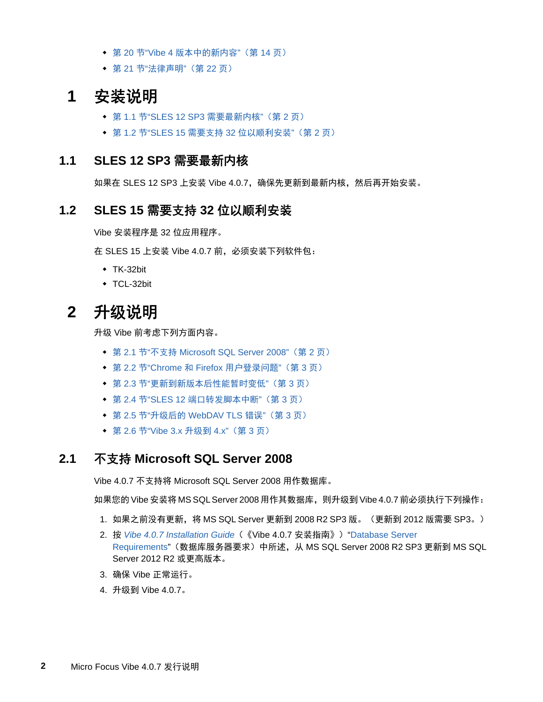- ◆ 第 20 节"Vibe 4 [版本中的新内容](#page-13-3)" (第 14 页)
- 第 21 节"[法律声明](#page-21-0)"(第 22 页)

# <span id="page-1-0"></span>**1** 安装说明

- 第 1.1 节["SLES 12 SP3](#page-1-2) 需要最新内核"(第 2 页)
- **◆ 第 1.2 节"SLES 15 需要支持 32 [位以顺利安装](#page-1-3)"(第 2 页)**

#### <span id="page-1-2"></span>**1.1 SLES 12 SP3** 需要最新内核

如果在 SLES 12 SP3 上安装 Vibe 4.0.7,确保先更新到最新内核,然后再开始安装。

### <span id="page-1-3"></span>**1.2 SLES 15** 需要支持 **32** 位以顺利安装

Vibe 安装程序是 32 位应用程序。

在 SLES 15 上安装 Vibe 4.0.7 前,必须安装下列软件包:

- $\cdot$  TK-32bit
- ◆ TCL-32bit

# <span id="page-1-1"></span>**2** 升级说明

升级 Vibe 前考虑下列方面内容。

- 第 2.1 节"不支持 [Microsoft SQL Server 2008"](#page-1-4)(第 2 页)
- 第 2.2 节"Chrome 和 Firefox [用户登录问题](#page-2-0)"(第 3 页)
- 第 2.3 节"[更新到新版本后性能暂时变低](#page-2-1)"(第 3 页)
- 第 2.4 节"SLES 12 [端口转发脚本中断](#page-2-2)"(第 3 页)
- 第 2.5 节"升级后的 [WebDAV TLS](#page-2-3) 错误"(第 3 页)
- 第 2.6 节["Vibe 3.x](#page-2-4) 升级到 4.x"(第 3 页)

#### <span id="page-1-4"></span>**2.1** 不支持 **Microsoft SQL Server 2008**

Vibe 4.0.7 不支持将 Microsoft SQL Server 2008 用作数据库。

如果您的 Vibe 安装将 MS SQL Server 2008 用作其数据库,则升级到 Vibe 4.0.7 前必须执行下列操作:

- 1. 如果之前没有更新, 将 MS SQL Server 更新到 2008 R2 SP3 版。 (更新到 2012 版需要 SP3。)
- 2. 按 *Vibe 4.0.7 Installation Guide*(《Vibe 4.0.7 安装指南》)"Database Server Requirements"(数据库服务器要求)中所述,从 MS SQL Server 2008 R2 SP3 更新到 MS SQL Server 2012 R2 或更高版本。
- 3. 确保 Vibe 正常运行。
- 4. 升级到 Vibe 4.0.7。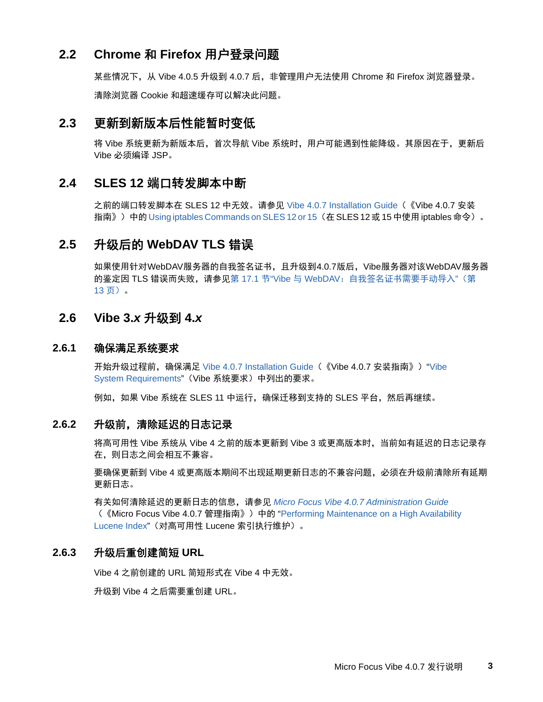### <span id="page-2-0"></span>**2.2 Chrome** 和 **Firefox** 用户登录问题

某些情况下,从 Vibe 4.0.5 升级到 4.0.7 后,非管理用户无法使用 Chrome 和 Firefox 浏览器登录。 清除浏览器 Cookie 和超速缓存可以解决此问题。

# <span id="page-2-1"></span>**2.3** 更新到新版本后性能暂时变低

将 Vibe 系统更新为新版本后,首次导航 Vibe 系统时,用户可能遇到性能降级。其原因在于,更新后 Vibe 必须编译 JSP。

### <span id="page-2-2"></span>**2.4 SLES 12** 端口转发脚本中断

之前的端口转发脚本在 SLES 12 中无效。请参见 Vibe 4.0.7 Installation Guide(《Vibe 4.0.7 安装 指南》)中的 Using iptables Commands on SLES 12 or 15 (在 SLES 12 或 15 中使用 iptables 命令)。

# <span id="page-2-3"></span>**2.5** 升级后的 **WebDAV TLS** 错误

如果使用针对 WebDAV 服务器的自我签名证书,且升级到4.0.7版后,Vibe服务器对该 WebDAV 服务器 的鉴定因 TLS 错误而失败,请参见第 17.1 节"Vibe 与 WebDAV[:自我签名证书需要手动导入](#page-12-2)"(第 13 [页\)。](#page-12-2)

#### <span id="page-2-4"></span>**2.6 Vibe 3.***x* 升级到 **4.***x*

#### **2.6.1** 确保满足系统要求

开始升级过程前,确保满足 Vibe 4.0.7 Installation Guide (《Vibe 4.0.7 安装指南》) "Vibe System Requirements"(Vibe 系统要求)中列出的要求。

例如,如果 Vibe 系统在 SLES 11 中运行,确保迁移到支持的 SLES 平台,然后再继续。

#### **2.6.2** 升级前,清除延迟的日志记录

将高可用性 Vibe 系统从 Vibe 4 之前的版本更新到 Vibe 3 或更高版本时,当前如有延迟的日志记录存 在,则日志之间会相互不兼容。

要确保更新到 Vibe 4 或更高版本期间不出现延期更新日志的不兼容问题,必须在升级前清除所有延期 更新日志。

有关如何清除延迟的更新日志的信息,请参见 *Micro Focus Vibe 4.0.7 Administration Guide* (《Micro Focus Vibe 4.0.7 管理指南》)中的 "Performing Maintenance on a High Availability Lucene Index"(对高可用性 Lucene 索引执行维护)。

#### **2.6.3** 升级后重创建简短 **URL**

Vibe 4 之前创建的 URL 简短形式在 Vibe 4 中无效。

升级到 Vibe 4 之后需要重创建 URL。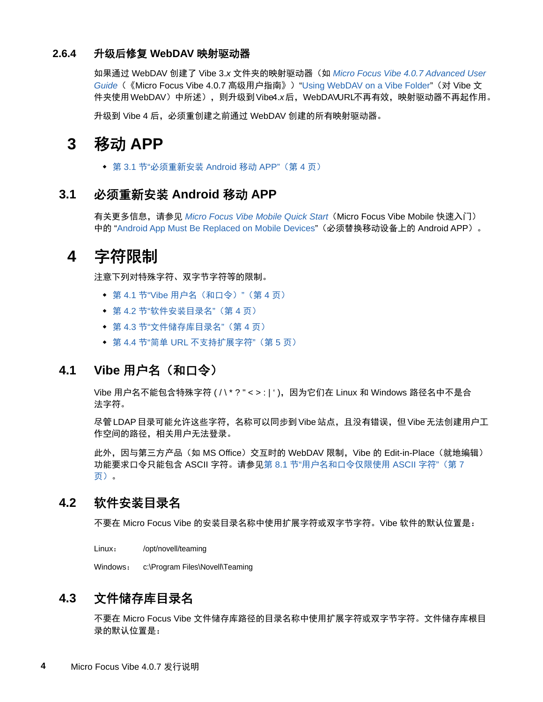#### **2.6.4** 升级后修复 **WebDAV** 映射驱动器

如果通过 WebDAV 创建了 Vibe 3.*x* 文件夹的映射驱动器(如 *Micro Focus Vibe 4.0.7 Advanced User Guide*(《Micro Focus Vibe 4.0.7 高级用户指南》)"Using WebDAV on a Vibe Folder"(对 Vibe 文 件夹使用 WebDAV )中所述), 则升级到 Vibe4.x后, WebDAVURL不再有效,映射驱动器不再起作用。

升级到 Vibe 4 后, 必须重创建之前通过 WebDAV 创建的所有映射驱动器。

# <span id="page-3-0"></span>**3** 移动 **APP**

◆ 第 3.1 节"[必须重新安装](#page-3-2) Android 移动 APP" (第 4 页)

### <span id="page-3-2"></span>**3.1** 必须重新安装 **Android** 移动 **APP**

有关更多信息,请参见 *Micro Focus Vibe Mobile Quick Start*(Micro Focus Vibe Mobile 快速入门) 中的 "Android App Must Be Replaced on Mobile Devices"(必须替换移动设备上的 Android APP)。

# <span id="page-3-1"></span>**4** 字符限制

注意下列对特殊字符、双字节字符等的限制。

- ◆ 第 4.1 节"Vibe 用户名 (和口令)"(第 4 页)
- ◆ 第 4.2 节"[软件安装目录名](#page-3-4)"(第 4 页)
- 第 4.3 节"[文件储存库目录名](#page-3-5)"(第 4 页)
- 第 4.4 节"简单 URL [不支持扩展字符](#page-4-2)"(第 5 页)

# <span id="page-3-3"></span>**4.1 Vibe** 用户名(和口令)

Vibe 用户名不能包含特殊字符 ( / \ \* ? " < > : | ' ), 因为它们在 Linux 和 Windows 路径名中不是合 法字符。

尽管 LDAP 目录可能允许这些字符,名称可以同步到 Vibe 站点,且没有错误,但 Vibe 无法创建用户工 作空间的路径,相关用户无法登录。

此外,因与第三方产品(如 MS Office)交互时的 WebDAV 限制, Vibe 的 Edit-in-Place (就地编辑) 功能要求口令只能包含 ASCII 字符。请参见第 8.1 节"[用户名和口令仅限使用](#page-6-1) ASCII 字符"(第 7 [页\)。](#page-6-1)

# <span id="page-3-4"></span>**4.2** 软件安装目录名

不要在 Micro Focus Vibe 的安装目录名称中使用扩展字符或双字节字符。Vibe 软件的默认位置是:

Linux: /opt/novell/teaming

Windows: c:\Program Files\Novell\Teaming

# <span id="page-3-5"></span>**4.3** 文件储存库目录名

不要在 Micro Focus Vibe 文件储存库路径的目录名称中使用扩展字符或双字节字符。文件储存库根目 录的默认位置是: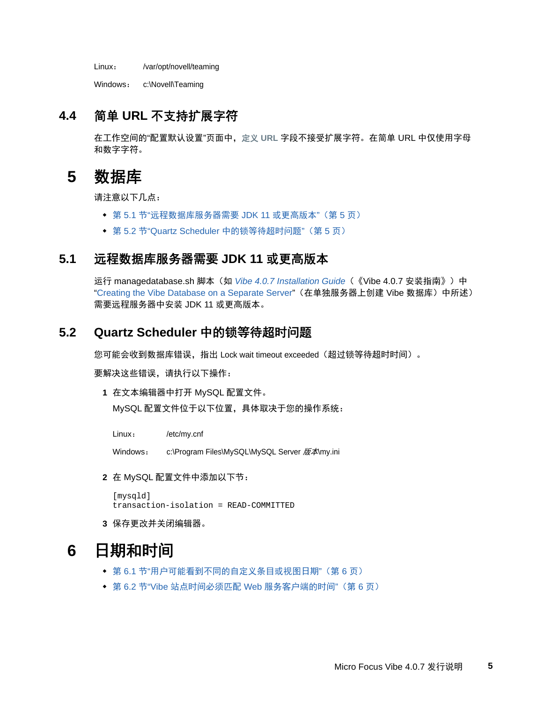Linux: /var/opt/novell/teaming

Windows: c:\Novell\Teaming

# <span id="page-4-2"></span>**4.4** 简单 **URL** 不支持扩展字符

在工作空间的"配置默认设置"页面中,定义 **URL** 字段不接受扩展字符。在简单 URL 中仅使用字母 和数字字符。

# <span id="page-4-0"></span>**5** 数据库

请注意以下几点:

- 第 5.1 节"[远程数据库服务器需要](#page-4-3) JDK 11 或更高版本"(第 5 页)
- 第 5.2 节"Quartz Scheduler [中的锁等待超时问题](#page-4-4)"(第 5 页)

# <span id="page-4-3"></span>**5.1** 远程数据库服务器需要 **JDK 11** 或更高版本

运行 managedatabase.sh 脚本(如 *Vibe 4.0.7 Installation Guide*(《Vibe 4.0.7 安装指南》)中 "Creating the Vibe Database on a Separate Server"(在单独服务器上创建 Vibe 数据库)中所述) 需要远程服务器中安装 JDK 11 或更高版本。

### <span id="page-4-4"></span>**5.2 Quartz Scheduler** 中的锁等待超时问题

您可能会收到数据库错误,指出 Lock wait timeout exceeded(超过锁等待超时时间)。

要解决这些错误,请执行以下操作:

**1** 在文本编辑器中打开 MySQL 配置文件。

MySQL 配置文件位于以下位置,具体取决于您的操作系统:

Linux: /etc/my.cnf

Windows: c:\Program Files\MySQL\MySQL Server 版本\my.ini

**2** 在 MySQL 配置文件中添加以下节:

```
[mysqld]
transaction-isolation = READ-COMMITTED
```
**3** 保存更改并关闭编辑器。

# <span id="page-4-1"></span>**6** 日期和时间

- 第 6.1 节"[用户可能看到不同的自定义条目或视图日期](#page-5-1)"(第 6 页)
- 第 6.2 节"Vibe [站点时间必须匹配](#page-5-2) Web 服务客户端的时间"(第 6 页)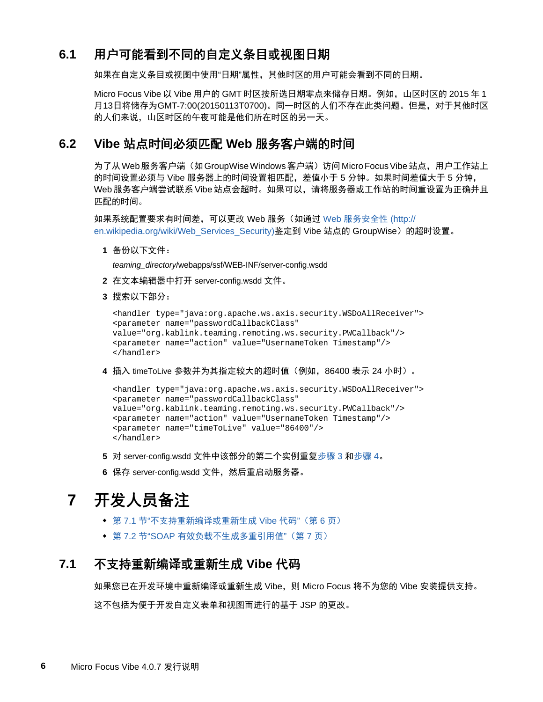# <span id="page-5-1"></span>**6.1** 用户可能看到不同的自定义条目或视图日期

如果在自定义条目或视图中使用"日期"属性,其他时区的用户可能会看到不同的日期。

Micro Focus Vibe 以 Vibe 用户的 GMT 时区按所选日期零点来储存日期。例如,山区时区的 2015 年 1 月13日将储存为GMT-7:00(20150113T0700)。同一时区的人们不存在此类问题。但是,对于其他时区 的人们来说,山区时区的午夜可能是他们所在时区的另一天。

# <span id="page-5-2"></span>**6.2 Vibe** 站点时间必须匹配 **Web** 服务客户端的时间

为了从 Web 服务客户端(如 GroupWise Windows 客户端)访问 Micro Focus Vibe 站点,用户工作站上 的时间设置必须与 Vibe 服务器上的时间设置相匹配,差值小于 5 分钟。如果时间差值大于 5 分钟, Web 服务客户端尝试联系 Vibe 站点会超时。如果可以,请将服务器或工作站的时间重设置为正确并且 匹配的时间。

如果系统配置要求有时间差,可以更改 Web 服务(如通过 Web [服务安全性](http://en.wikipedia.org/wiki/Web_Services_Security) (http:// en.wikipedia.org/wiki/Web\_Services\_Security)鉴定到 Vibe 站点的 GroupWise)的超时设置。

**1** 备份以下文件:

*teaming\_directory*/webapps/ssf/WEB-INF/server-config.wsdd

- **2** 在文本编辑器中打开 server-config.wsdd 文件。
- <span id="page-5-3"></span>**3** 搜索以下部分:

```
<handler type="java:org.apache.ws.axis.security.WSDoAllReceiver">
<parameter name="passwordCallbackClass"
value="org.kablink.teaming.remoting.ws.security.PWCallback"/>
<parameter name="action" value="UsernameToken Timestamp"/>
</handler>
```
<span id="page-5-4"></span>**4** 插入 timeToLive 参数并为其指定较大的超时值(例如,86400 表示 24 小时)。

```
<handler type="java:org.apache.ws.axis.security.WSDoAllReceiver">
<parameter name="passwordCallbackClass"
value="org.kablink.teaming.remoting.ws.security.PWCallback"/>
<parameter name="action" value="UsernameToken Timestamp"/>
<parameter name="timeToLive" value="86400"/>
</handler>
```
- **5** 对 server-config.wsdd 文件中该部分的第二个实例重复[步骤](#page-5-3) 3 [和步骤](#page-5-4) 4。
- **6** 保存 server-config.wsdd 文件,然后重启动服务器。

# <span id="page-5-0"></span>**7** 开发人员备注

- 第 7.1 节"[不支持重新编译或重新生成](#page-5-5) Vibe 代码"(第 6 页)
- 第 7.2 节"SOAP [有效负载不生成多重引用值](#page-6-2)"(第 7 页)

### <span id="page-5-5"></span>**7.1** 不支持重新编译或重新生成 **Vibe** 代码

如果您已在开发环境中重新编译或重新生成 Vibe, 则 Micro Focus 将不为您的 Vibe 安装提供支持。 这不包括为便于开发自定义表单和视图而进行的基于 JSP 的更改。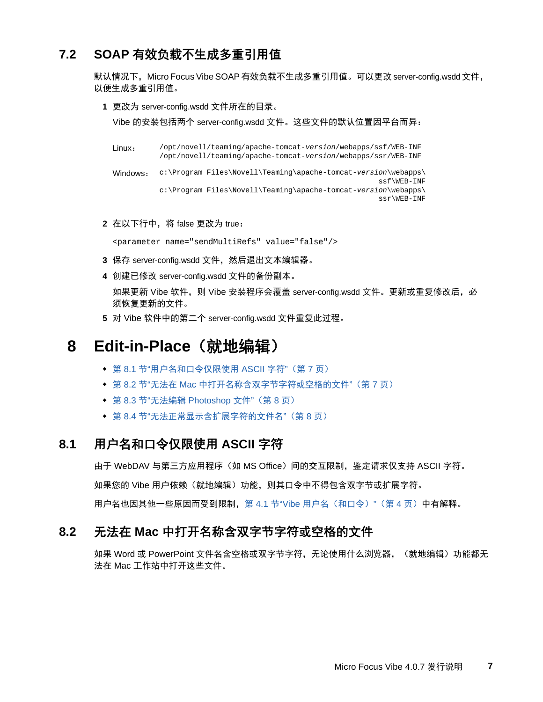# <span id="page-6-2"></span>**7.2 SOAP** 有效负载不生成多重引用值

默认情况下,Micro Focus Vibe SOAP 有效负载不生成多重引用值。可以更改 server-config.wsdd 文件, 以便生成多重引用值。

**1** 更改为 server-config.wsdd 文件所在的目录。

Vibe 的安装包括两个 server-config.wsdd 文件。这些文件的默认位置因平台而异:

```
Linux: /opt/novell/teaming/apache-tomcat-version/webapps/ssf/WEB-INF
          /opt/novell/teaming/apache-tomcat-version/webapps/ssr/WEB-INF
Windows: c:\Program Files\Novell\Teaming\apache-tomcat-version\webapps\
                                                             ssf\WEB-INF
          c:\Program Files\Novell\Teaming\apache-tomcat-version\webapps\
                                                            ssr\WEB-INF
```
**2** 在以下行中,将 false 更改为 true:

<parameter name="sendMultiRefs" value="false"/>

- **3** 保存 server-config.wsdd 文件,然后退出文本编辑器。
- **4** 创建已修改 server-config.wsdd 文件的备份副本。 如果更新 Vibe 软件, 则 Vibe 安装程序会覆盖 server-config.wsdd 文件。更新或重复修改后, 必 须恢复更新的文件。
- **5** 对 Vibe 软件中的第二个 server-config.wsdd 文件重复此过程。

# <span id="page-6-0"></span>**8 Edit-in-Place**(就地编辑)

- 第 8.1 节"[用户名和口令仅限使用](#page-6-1) ASCII 字符"(第 7 页)
- 第 8.2 节"无法在 Mac [中打开名称含双字节字符或空格的文件](#page-6-3)"(第 7 页)
- 第 8.3 节"无法编辑 [Photoshop](#page-7-1) 文件" (第 8 页)
- 第 8.4 节"[无法正常显示含扩展字符的文件名](#page-7-2)"(第 8 页)

# <span id="page-6-1"></span>**8.1** 用户名和口令仅限使用 **ASCII** 字符

由于 WebDAV 与第三方应用程序(如 MS Office)间的交互限制,鉴定请求仅支持 ASCII 字符。 如果您的 Vibe 用户依赖(就地编辑)功能,则其口令中不得包含双字节或扩展字符。 用户名也因其他一些原因而受到限制,第 4.1 节"Vibe 用户名 (和口令)"(第 4 页)中有解释。

# <span id="page-6-3"></span>**8.2** 无法在 **Mac** 中打开名称含双字节字符或空格的文件

如果 Word 或 PowerPoint 文件名含空格或双字节字符,无论使用什么浏览器,(就地编辑)功能都无 法在 Mac 工作站中打开这些文件。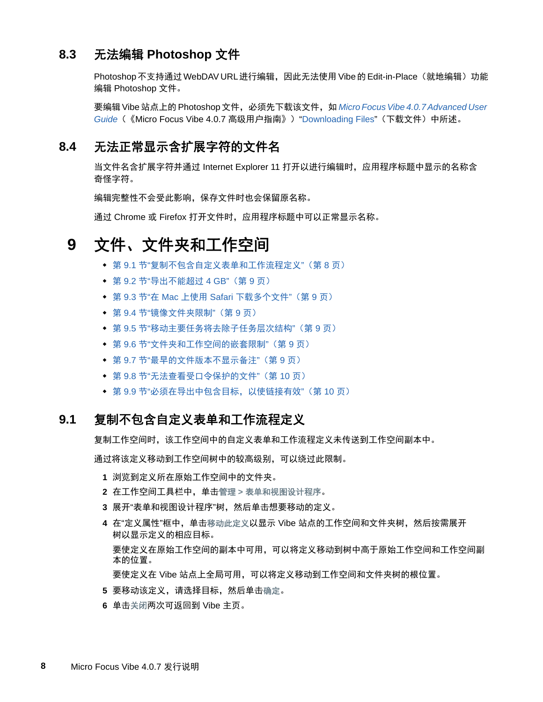# <span id="page-7-1"></span>**8.3** 无法编辑 **Photoshop** 文件

Photoshop 不支持通过 WebDAV URL 进行编辑, 因此无法使用 Vibe 的 Edit-in-Place (就地编辑) 功能 编辑 Photoshop 文件。

要编辑 Vibe 站点上的 Photoshop 文件,必须先下载该文件,如 *Micro Focus Vibe 4.0.7 Advanced User Guide*(《Micro Focus Vibe 4.0.7 高级用户指南》)"Downloading Files"(下载文件)中所述。

# <span id="page-7-2"></span>**8.4** 无法正常显示含扩展字符的文件名

当文件名含扩展字符并通过 Internet Explorer 11 打开以进行编辑时,应用程序标题中显示的名称含 奇怪字符。

编辑完整性不会受此影响,保存文件时也会保留原名称。

通过 Chrome 或 Firefox 打开文件时,应用程序标题中可以正常显示名称。

# <span id="page-7-0"></span>**9** 文件、文件夹和工作空间

- 第 9.1 节"[复制不包含自定义表单和工作流程定义](#page-7-3)"(第 8 页)
- 第 9.2 节"[导出不能超过](#page-8-0) 4 GB"(第 9 页)
- 第 9.3 节"在 Mac 上使用 Safari [下载多个文件](#page-8-1)"(第 9 页)
- 第 9.4 节"[镜像文件夹限制](#page-8-2)"(第 9 页)
- 第 9.5 节"[移动主要任务将去除子任务层次结构](#page-8-3)"(第 9 页)
- 第 9.6 节"[文件夹和工作空间的嵌套限制](#page-8-4)"(第 9 页)
- 第 9.7 节"[最早的文件版本不显示备注](#page-8-5)"(第 9 页)
- 第 9.8 节"[无法查看受口令保护的文件](#page-9-2)"(第 10 页)
- 第 9.9 节"[必须在导出中包含目标,以使链接有效](#page-9-3)"(第 10 页)

#### <span id="page-7-3"></span>**9.1** 复制不包含自定义表单和工作流程定义

复制工作空间时,该工作空间中的自定义表单和工作流程定义未传送到工作空间副本中。

通过将该定义移动到工作空间树中的较高级别,可以绕过此限制。

- **1** 浏览到定义所在原始工作空间中的文件夹。
- **2** 在工作空间工具栏中,单击管理 **>** 表单和视图设计程序。
- **3** 展开"表单和视图设计程序"树,然后单击想要移动的定义。
- **4** 在"定义属性"框中,单击移动此定义以显示 Vibe 站点的工作空间和文件夹树,然后按需展开 树以显示定义的相应目标。 要使定义在原始工作空间的副本中可用,可以将定义移动到树中高于原始工作空间和工作空间副 本的位置。 要使定义在 Vibe 站点上全局可用,可以将定义移动到工作空间和文件夹树的根位置。
- **5** 要移动该定义,请选择目标,然后单击确定。
- **6** 单击关闭两次可返回到 Vibe 主页。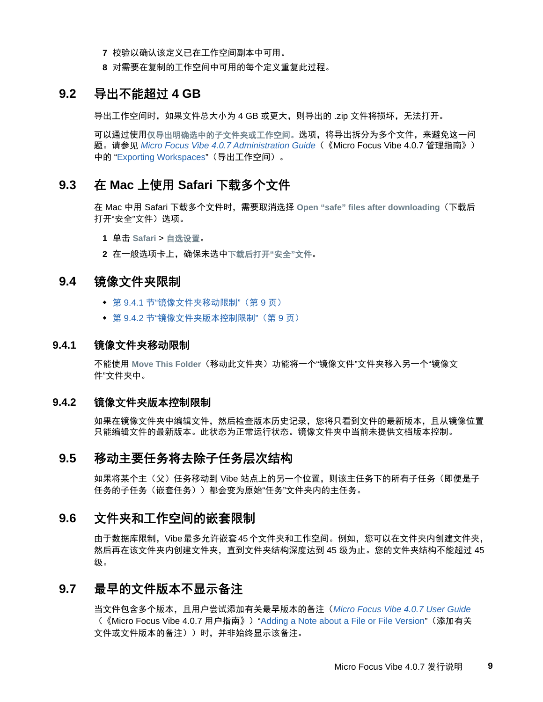- **7** 校验以确认该定义已在工作空间副本中可用。
- **8** 对需要在复制的工作空间中可用的每个定义重复此过程。

#### <span id="page-8-0"></span>**9.2** 导出不能超过 **4 GB**

导出工作空间时,如果文件总大小为 4 GB 或更大,则导出的 .zip 文件将损坏,无法打开。

可以通过使用仅导出明确选中的子文件夹或工作空间。选项,将导出拆分为多个文件,来避免这一问 题。请参见 *Micro Focus Vibe 4.0.7 Administration Guide*(《Micro Focus Vibe 4.0.7 管理指南》) 中的 "Exporting Workspaces"(导出工作空间)。

#### <span id="page-8-1"></span>**9.3** 在 **Mac** 上使用 **Safari** 下载多个文件

在 Mac 中用 Safari 下载多个文件时,需要取消选择 **Open "safe" files after downloading**(下载后 打开"安全"文件)选项。

**1** 单击 **Safari** > 自选设置。

**2** 在一般选项卡上,确保未选中下载后打开**"**安全**"**文件。

#### <span id="page-8-2"></span>**9.4** 镜像文件夹限制

- 第 9.4.1 节"[镜像文件夹移动限制](#page-8-6)"(第 9 页)
- ◆ 第 9.4.2 节"[镜像文件夹版本控制限制](#page-8-7)"(第 9 页)

#### <span id="page-8-6"></span>**9.4.1** 镜像文件夹移动限制

不能使用 Move This Folder (移动此文件夹)功能将一个"镜像文件"文件夹移入另一个"镜像文 件"文件夹中。

#### <span id="page-8-7"></span>**9.4.2** 镜像文件夹版本控制限制

如果在镜像文件夹中编辑文件,然后检查版本历史记录,您将只看到文件的最新版本,且从镜像位置 只能编辑文件的最新版本。此状态为正常运行状态。镜像文件夹中当前未提供文档版本控制。

#### <span id="page-8-3"></span>**9.5** 移动主要任务将去除子任务层次结构

如果将某个主(父)任务移动到 Vibe 站点上的另一个位置,则该主任务下的所有子任务(即便是子 任务的子任务(嵌套任务))都会变为原始"任务"文件夹内的主任务。

#### <span id="page-8-4"></span>**9.6** 文件夹和工作空间的嵌套限制

由于数据库限制,Vibe 最多允许嵌套 45 个文件夹和工作空间。例如,您可以在文件夹内创建文件夹, 然后再在该文件夹内创建文件夹,直到文件夹结构深度达到 45 级为止。您的文件夹结构不能超过 45 级。

### <span id="page-8-5"></span>**9.7** 最早的文件版本不显示备注

当文件包含多个版本,且用户尝试添加有关最早版本的备注(*Micro Focus Vibe 4.0.7 User Guide* (《Micro Focus Vibe 4.0.7 用户指南》)"Adding a Note about a File or File Version"(添加有关 文件或文件版本的备注))时,并非始终显示该备注。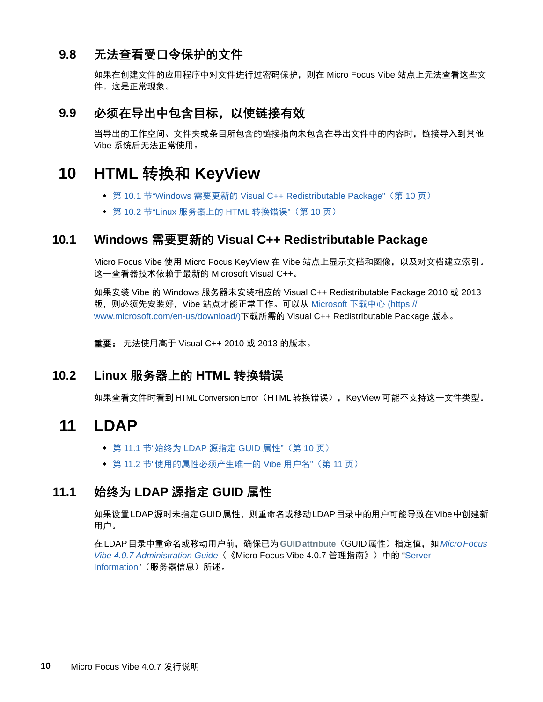# <span id="page-9-2"></span>**9.8** 无法查看受口令保护的文件

如果在创建文件的应用程序中对文件进行过密码保护,则在 Micro Focus Vibe 站点上无法查看这些文 件。这是正常现象。

# <span id="page-9-3"></span>**9.9** 必须在导出中包含目标,以使链接有效

当导出的工作空间、文件夹或条目所包含的链接指向未包含在导出文件中的内容时,链接导入到其他 Vibe 系统后无法正常使用。

# <span id="page-9-0"></span>**10 HTML** 转换和 **KeyView**

- 第 10.1 节"Windows 需要更新的 [Visual C++ Redistributable Package"](#page-9-4)(第 10 页)
- 第 10.2 节"Linux [服务器上的](#page-9-5) HTML 转换错误"(第 10 页)

# <span id="page-9-4"></span>**10.1 Windows** 需要更新的 **Visual C++ Redistributable Package**

Micro Focus Vibe 使用 Micro Focus KeyView 在 Vibe 站点上显示文档和图像,以及对文档建立索引。 这一查看器技术依赖于最新的 Microsoft Visual C++。

如果安装 Vibe 的 Windows 服务器未安装相应的 Visual C++ Redistributable Package 2010 或 2013 版,则必须先安装好,Vibe 站点才能正常工作。可以从 [Microsoft](https://www.microsoft.com/en-us/download/) 下载中心 (https:// www.microsoft.com/en-us/download/)下载所需的 Visual C++ Redistributable Package 版本。

重要: 无法使用高于 Visual C++ 2010 或 2013 的版本。

# <span id="page-9-5"></span>**10.2 Linux** 服务器上的 **HTML** 转换错误

如果查看文件时看到 HTML Conversion Error(HTML 转换错误), KeyView 可能不支持这一文件类型。

# <span id="page-9-1"></span>**11 LDAP**

- 第 11.1 节"始终为 [LDAP](#page-9-6) 源指定 GUID 属性"(第 10 页)
- 第 11.2 节"[使用的属性必须产生唯一的](#page-10-3) Vibe 用户名"(第 11 页)

# <span id="page-9-6"></span>**11.1** 始终为 **LDAP** 源指定 **GUID** 属性

如果设置 LDAP 源时未指定 GUID 属性,则重命名或移动 LDAP 目录中的用户可能导致在 Vibe 中创建新 用户。

在 LDAP 目录中重命名或移动用户前,确保已为**GUID attribute**(GUID 属性)指定值,如*Micro Focus Vibe 4.0.7 Administration Guide*(《Micro Focus Vibe 4.0.7 管理指南》)中的 "Server Information"(服务器信息)所述。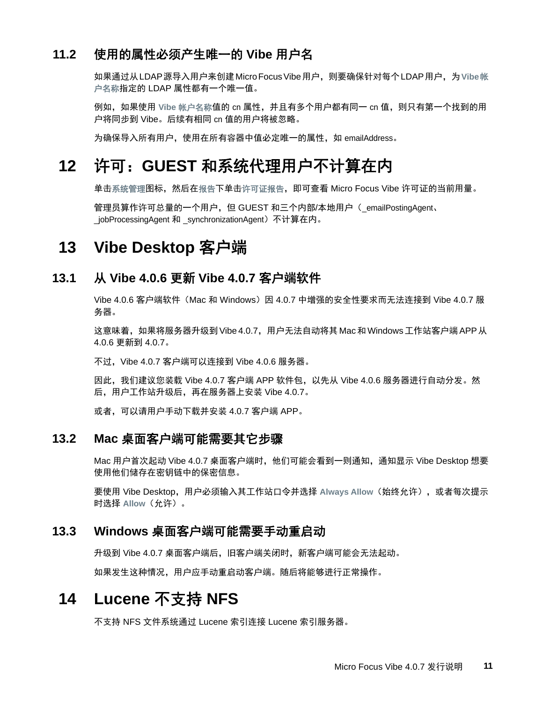# <span id="page-10-3"></span>**11.2** 使用的属性必须产生唯一的 **Vibe** 用户名

如果通过从 LDAP 源导入用户来创建 Micro Focus Vibe 用户,则要确保针对每个 LDAP 用户,为**Vibe** 帐 户名称指定的 LDAP 属性都有一个唯一值。

例如,如果使用 **Vibe** 帐户名称值的 cn 属性,并且有多个用户都有同一 cn 值,则只有第一个找到的用 户将同步到 Vibe。后续有相同 cn 值的用户将被忽略。

为确保导入所有用户,使用在所有容器中值必定唯一的属性,如 emailAddress。

# <span id="page-10-0"></span>**12** 许可:**GUEST** 和系统代理用户不计算在内

单击系统管理图标,然后在报告下单击许可证报告,即可查看 Micro Focus Vibe 许可证的当前用量。

管理员算作许可总量的一个用户,但 GUEST 和三个内部/本地用户(\_emailPostingAgent、 \_jobProcessingAgent 和 \_synchronizationAgent)不计算在内。

# <span id="page-10-1"></span>**13 Vibe Desktop** 客户端

#### **13.1** 从 **Vibe 4.0.6** 更新 **Vibe 4.0.7** 客户端软件

Vibe 4.0.6 客户端软件(Mac 和 Windows)因 4.0.7 中增强的安全性要求而无法连接到 Vibe 4.0.7 服 务器。

这意味着,如果将服务器升级到 Vibe 4.0.7,用户无法自动将其 Mac 和 Windows 工作站客户端 APP 从 4.0.6 更新到 4.0.7。

不过, Vibe 4.0.7 客户端可以连接到 Vibe 4.0.6 服务器。

因此,我们建议您装载 Vibe 4.0.7 客户端 APP 软件包,以先从 Vibe 4.0.6 服务器进行自动分发。然 后,用户工作站升级后,再在服务器上安装 Vibe 4.0.7。

或者,可以请用户手动下载并安装 4.0.7 客户端 APP。

#### **13.2 Mac** 桌面客户端可能需要其它步骤

Mac 用户首次起动 Vibe 4.0.7 桌面客户端时,他们可能会看到一则通知,通知显示 Vibe Desktop 想要 使用他们储存在密钥链中的保密信息。

要使用 Vibe Desktop,用户必须输入其工作站口令并选择 **Always Allow**(始终允许),或者每次提示 时选择 **Allow**(允许)。

#### **13.3 Windows** 桌面客户端可能需要手动重启动

升级到 Vibe 4.0.7 桌面客户端后,旧客户端关闭时,新客户端可能会无法起动。

如果发生这种情况,用户应手动重启动客户端。随后将能够进行正常操作。

# <span id="page-10-2"></span>**14 Lucene** 不支持 **NFS**

不支持 NFS 文件系统通过 Lucene 索引连接 Lucene 索引服务器。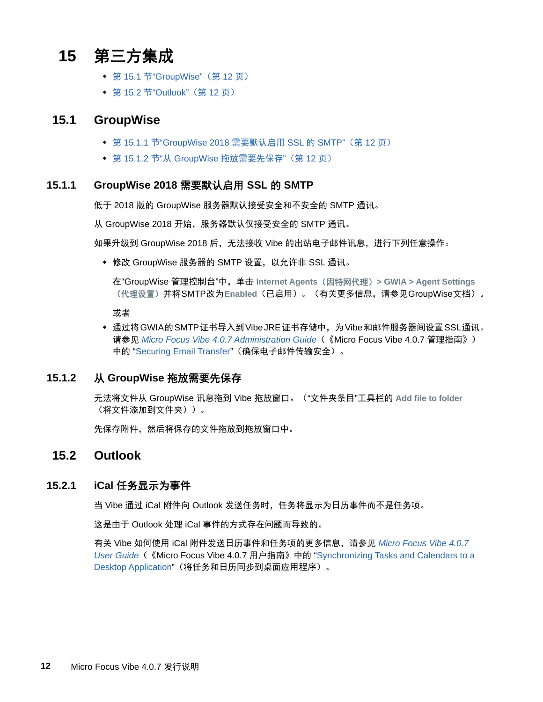# <span id="page-11-0"></span>**15** 第三方集成

- ◆ 第 15.1 节["GroupWise"](#page-11-1)(第 12 页)
- 第 15.2 节["Outlook"](#page-11-2) (第 12 页)

#### <span id="page-11-1"></span>**15.1 GroupWise**

- 第 15.1.1 节["GroupWise 2018](#page-11-3) 需要默认启用 SSL 的 SMTP"(第 12 页)
- 第 15.1.2 节"从 GroupWise [拖放需要先保存](#page-11-4)"(第 12 页)

#### <span id="page-11-3"></span>**15.1.1 GroupWise 2018** 需要默认启用 **SSL** 的 **SMTP**

低于 2018 版的 GroupWise 服务器默认接受安全和不安全的 SMTP 通讯。

从 GroupWise 2018 开始, 服务器默认仅接受安全的 SMTP 通讯。

如果升级到 GroupWise 2018 后,无法接收 Vibe 的出站电子邮件讯息,进行下列任意操作:

修改 GroupWise 服务器的 SMTP 设置,以允许非 SSL 通讯。

在"GroupWise 管理控制台"中,单击 **Internet Agents**(因特网代理)**> GWIA > Agent Settings** (代理设置)并将 SMTP 改为**Enabled**(已启用)。(有关更多信息,请参见 GroupWise 文档)。

或者

◆ 通过将 GWIA的 SMTP 证书导入到 Vibe JRE 证书存储中, 为 Vibe 和邮件服务器间设置 SSL通讯。 请参见 *Micro Focus Vibe 4.0.7 Administration Guide*(《Micro Focus Vibe 4.0.7 管理指南》) 中的 "Securing Email Transfer" (确保电子邮件传输安全)。

#### <span id="page-11-4"></span>**15.1.2** 从 **GroupWise** 拖放需要先保存

无法将文件从 GroupWise 讯息拖到 Vibe 拖放窗口。("文件夹条目"工具栏的 **Add file to folder** (将文件添加到文件夹))。

先保存附件,然后将保存的文件拖放到拖放窗口中。

### <span id="page-11-2"></span>**15.2 Outlook**

#### **15.2.1 iCal** 任务显示为事件

当 Vibe 通过 iCal 附件向 Outlook 发送任务时,任任务将显示为日历事件而不是任务项。

这是由于 Outlook 处理 iCal 事件的方式存在问题而导致的。

有关 Vibe 如何使用 iCal 附件发送日历事件和任务项的更多信息,请参见 *Micro Focus Vibe 4.0.7 User Guide*(《Micro Focus Vibe 4.0.7 用户指南》中的 "Synchronizing Tasks and Calendars to a Desktop Application"(将任务和日历同步到桌面应用程序)。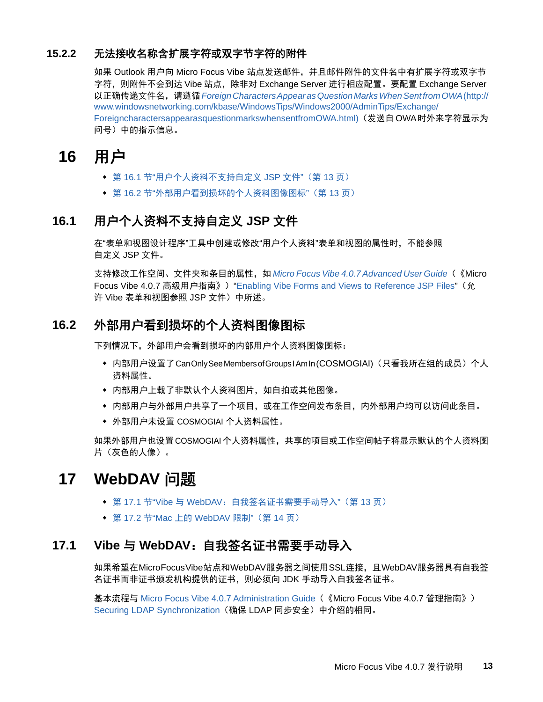### **15.2.2** 无法接收名称含扩展字符或双字节字符的附件

如果 Outlook 用户向 Micro Focus Vibe 站点发送邮件,并且邮件附件的文件名中有扩展字符或双字节 字符,则附件不会到达 Vibe 站点,除非对 Exchange Server 进行相应配置。要配置 Exchange Server 以正确传递文件名,请遵循*[Foreign Characters Appear as Question Marks When Sent from OWA](http://www.windowsnetworking.com/kbase/WindowsTips/Windows2000/AdminTips/Exchange/ForeigncharactersappearasquestionmarkswhensentfromOWA.html)* (http:// www.windowsnetworking.com/kbase/WindowsTips/Windows2000/AdminTips/Exchange/ ForeigncharactersappearasquestionmarkswhensentfromOWA.html)(发送自 OWA 时外来字符显示为 问号)中的指示信息。

# <span id="page-12-0"></span>**16** 用户

- 第 16.1 节"[用户个人资料不支持自定义](#page-12-3) JSP 文件"(第 13 页)
- ◆ 第 16.2 节"[外部用户看到损坏的个人资料图像图标](#page-12-4)"(第 13 页)

# <span id="page-12-3"></span>**16.1** 用户个人资料不支持自定义 **JSP** 文件

在"表单和视图设计程序"工具中创建或修改"用户个人资料"表单和视图的属性时,不能参照 自定义 JSP 文件。

支持修改工作空间、文件夹和条目的属性,如 *Micro Focus Vibe 4.0.7 Advanced User Guide* (《Micro Focus Vibe 4.0.7 高级用户指南》) "Enabling Vibe Forms and Views to Reference JSP Files"(允 许 Vibe 表单和视图参照 JSP 文件)中所述。

# <span id="page-12-4"></span>**16.2** 外部用户看到损坏的个人资料图像图标

下列情况下,外部用户会看到损坏的内部用户个人资料图像图标:

- ◆ 内部用户设置了Can Only See Members of Groups I Am In (COSMOGIAI)(只看我所在组的成员)个人 资料属性。
- 内部用户上载了非默认个人资料图片,如自拍或其他图像。
- 内部用户与外部用户共享了一个项目,或在工作空间发布条目,内外部用户均可以访问此条目。
- ◆ 外部用户未设置 COSMOGIAI 个人资料属性。

如果外部用户也设置COSMOGIAI个人资料属性,共享的项目或工作空间帖子将显示默认的个人资料图 片(灰色的人像)。

# <span id="page-12-1"></span>**17 WebDAV** 问题

- ◆ 第 17.1 节"Vibe 与 WebDAV: 自我签名证书需要手动导入"(第 13 页)
- ◆ 第 17.2 节"Mac 上的 [WebDAV](#page-13-4) 限制" (第 14 页)

# <span id="page-12-2"></span>**17.1 Vibe** 与 **WebDAV**:自我签名证书需要手动导入

如果希望在 Micro Focus Vibe 站点和 WebDAV 服务器之间使用 SSL 连接,且 WebDAV 服务器具有自我签 名证书而非证书颁发机构提供的证书,则必须向 JDK 手动导入自我签名证书。

基本流程与 Micro Focus Vibe 4.0.7 Administration Guide(《Micro Focus Vibe 4.0.7 管理指南》) Securing LDAP Synchronization (确保 LDAP 同步安全) 中介绍的相同。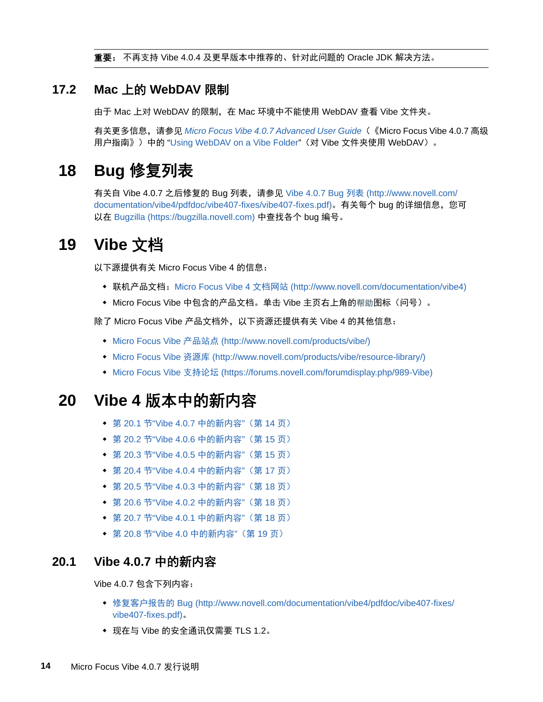重要: 不再支持 Vibe 4.0.4 及更早版本中推荐的、针对此问题的 Oracle JDK 解决方法。

# <span id="page-13-4"></span>**17.2 Mac** 上的 **WebDAV** 限制

由于 Mac 上对 WebDAV 的限制, 在 Mac 环境中不能使用 WebDAV 查看 Vibe 文件夹。

有关更多信息,请参见 *Micro Focus Vibe 4.0.7 Advanced User Guide*(《Micro Focus Vibe 4.0.7 高级 用户指南》)中的 "Using WebDAV on a Vibe Folder"(对 Vibe 文件夹使用 WebDAV)。

# <span id="page-13-1"></span>**18 Bug** 修复列表

有关自 Vibe 4.0.7 之后修复的 Bug 列表,请参见 [Vibe 4.0.7 Bug](http://www.novell.com/documentation/vibe4/pdfdoc/vibe407-fixes/vibe407-fixes.pdf) 列表 (http://www.novell.com/ documentation/vibe4/pdfdoc/vibe407-fixes/vibe407-fixes.pdf)。有关每个 bug 的详细信息,您可 以在 [Bugzilla](https://bugzilla.novell.com) (https://bugzilla.novell.com) 中查找各个 bug 编号。

# <span id="page-13-2"></span>**19 Vibe** 文档

以下源提供有关 Micro Focus Vibe 4 的信息:

- ◆ 联机产品文档: [Micro Focus Vibe 4](http://www.novell.com/documentation/vibe4) 文档网站 (http://www.novell.com/documentation/vibe4)
- ◆ Micro Focus Vibe 中包含的产品文档。单击 Vibe 主页右上角的帮助图标(问号)。

除了 Micro Focus Vibe 产品文档外,以下资源还提供有关 Vibe 4 的其他信息:

- [Micro Focus Vibe](http://www.novell.com/products/vibe/) 产品站点 (http://www.novell.com/products/vibe/)
- [Micro Focus Vibe](http://www.novell.com/products/vibe/resource-library/) 资源库 (http://www.novell.com/products/vibe/resource-library/)
- ◆ [Micro Focus Vibe](https://forums.novell.com/forumdisplay.php/989-Vibe) 支持论坛 (https://forums.novell.com/forumdisplay.php/989-Vibe)

# <span id="page-13-3"></span>**20 Vibe 4** 版本中的新内容

- ◆ 第 20.1 节["Vibe 4.0.7](#page-13-0) 中的新内容" (第 14 页)
- 第 20.2 节["Vibe 4.0.6](#page-14-0) 中的新内容"(第 15 页)
- 第 20.3 节["Vibe 4.0.5](#page-14-1) 中的新内容"(第 15 页)
- 第 20.4 节["Vibe 4.0.4](#page-16-0) 中的新内容"(第 17 页)
- 第 20.5 节["Vibe 4.0.3](#page-17-0) 中的新内容"(第 18 页)
- 第 20.6 节["Vibe 4.0.2](#page-17-1) 中的新内容"(第 18 页)
- 第 20.7 节["Vibe 4.0.1](#page-17-2) 中的新内容"(第 18 页)
- ◆ 第 20.8 节"Vibe 4.0 [中的新内容](#page-18-0)"(第 19 页)

### <span id="page-13-0"></span>**20.1 Vibe 4.0.7** 中的新内容

Vibe 4.0.7 包含下列内容:

- ◆ [修复客户报告的](http://www.novell.com/documentation/vibe4/pdfdoc/vibe407-fixes/vibe407-fixes.pdf) Bug (http://www.novell.com/documentation/vibe4/pdfdoc/vibe407-fixes/ vibe407-fixes.pdf)。
- 现在与 Vibe 的安全通讯仅需要 TLS 1.2。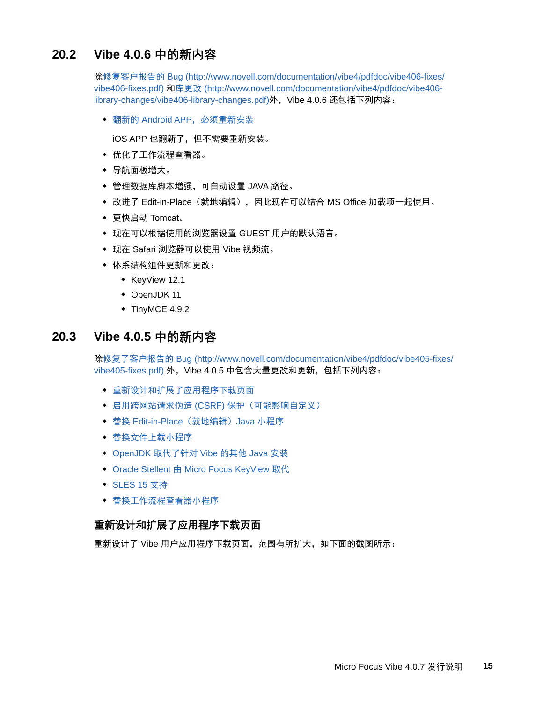# <span id="page-14-0"></span>**20.2 Vibe 4.0.6** 中的新内容

除[修复客户报告的](http://www.novell.com/documentation/vibe4/pdfdoc/vibe406-fixes/vibe406-fixes.pdf) Bug (http://www.novell.com/documentation/vibe4/pdfdoc/vibe406-fixes/ vibe406-fixes.pdf) 和[库更改](http://www.novell.com/documentation/vibe4/pdfdoc/vibe406-library-changes/vibe406-library-changes.pdf) (http://www.novell.com/documentation/vibe4/pdfdoc/vibe406 library-changes/vibe406-library-changes.pdf)外,Vibe 4.0.6 还包括下列内容:

翻新的 Android APP,必须重新安装

iOS APP 也翻新了,但不需要重新安装。

- ◆ 优化了工作流程杳看器。
- 导航面板增大。
- 管理数据库脚本增强,可自动设置 JAVA 路径。
- ◆ 改进了 Edit-in-Place (就地编辑), 因此现在可以结合 MS Office 加载项一起使用。
- 更快启动 Tomcat。
- 现在可以根据使用的浏览器设置 GUEST 用户的默认语言。
- 现在 Safari 浏览器可以使用 Vibe 视频流。
- 体系结构组件更新和更改:
	- $\triangleleft$  KeyView 12.1
	- OpenJDK 11
	- $\bullet$  TinyMCE 4.9.2

### <span id="page-14-1"></span>**20.3 Vibe 4.0.5** 中的新内容

除[修复了客户报告的](http://www.novell.com/documentation/vibe4/pdfdoc/vibe405-fixes/vibe405-fixes.pdf) Bug (http://www.novell.com/documentation/vibe4/pdfdoc/vibe405-fixes/ vibe405-fixes.pdf) 外, Vibe 4.0.5 中包含大量更改和更新, 包括下列内容:

- [重新设计和扩展了应用程序下载页面](#page-14-2)
- 启用跨网站请求伪造 (CSRF) [保护\(可能影响自定义\)](#page-15-0)
- ◆ 替换 Edit-in-Place [\(就地编辑\)](#page-15-1) Java 小程序
- [替换文件上载小程序](#page-16-1)
- OpenJDK [取代了针对](#page-16-2) Vibe 的其他 Java 安装
- Oracle Stellent 由 [Micro Focus KeyView](#page-16-3) 取代
- ◆ [SLES 15](#page-16-4) 支持
- ◆ 替换工作流程杳看器小程序

#### <span id="page-14-2"></span>重新设计和扩展了应用程序下载页面

重新设计了 Vibe 用户应用程序下载页面,范围有所扩大,如下面的截图所示: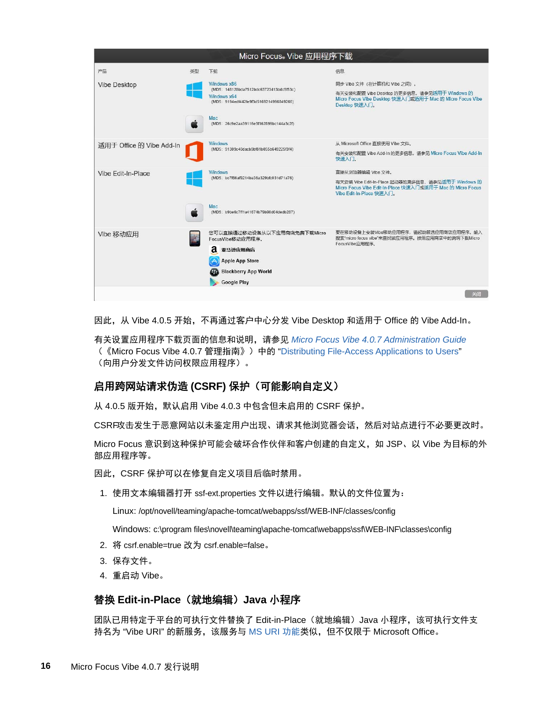| Micro Focus® Vibe 应用程序下载 |    |                                                                                                                                                                    |                                                                                                                                                                 |  |
|--------------------------|----|--------------------------------------------------------------------------------------------------------------------------------------------------------------------|-----------------------------------------------------------------------------------------------------------------------------------------------------------------|--|
| 产品                       | 半型 | 下载                                                                                                                                                                 | 信息                                                                                                                                                              |  |
| Vibe Desktop             |    | Windows x86<br>(MD5: 148128bda7512bdc63723413bdc5f53c)<br>Windows x64<br>(MD5: 9194edf442fe9f3d5169214996849266)<br>Mac<br>(MD5: 26c9e2aa39116e3f162899bc144a3c2f) | 同步 Vibe 文件 (在计算机和 Vibe 之间)。<br>有关安装和配置 Vibe Desktop 的更多信息, 请参见适用于 Windows 的<br>Micro Focus Vibe Desktop 快速入门或适用于 Mac 的 Micro Focus Vibe<br>Desktop 快速入门。        |  |
| 适用于 Office 的 Vibe Add-In |    | <b>Windows</b><br>(MD5: 91309c40dacb9bf81b055b649225f3f4)                                                                                                          | 从 Microsoft Office 直接使用 Vibe 文件。<br>有关安装和配置 Vibe Add-In 的更多信息, 请参见 Micro Focus Vibe Add-In<br>快速入门。                                                             |  |
| Vibe Edit-In-Place       |    | <b>Windows</b><br>(MD5: bc7f66af9214ba36a329bfc031d71a76)                                                                                                          | 直接从浏览器编辑 Vibe 文件。<br>有关安装 Vibe Edit-In-Place 起动器的更多信息,请参见适用于 Windows 的<br>Micro Focus Vibe Edit-In-Place 快速入门或适用于 Mac 的 Micro Focus<br>Vibe Edit-In-Place 快速入门。 |  |
|                          |    | Mac<br>(MD5: b9be6c7ff1a41674b79b90d04dedb287)                                                                                                                     |                                                                                                                                                                 |  |
| Vibe 移动应用                |    | 您可以直接通过移动设备从以下应用商店免费下载Micro<br>FocusVibe移动应用程序。<br>2 亚马逊应用商店<br><b>Apple App Store</b><br><b>Blackberry App World</b><br><b>Google Play</b>                        | 要在移动设备上安装Vibe移动应用程序,请起动首选应用商店应用程序。输入<br>搜索"micro focus vibe"来查找该应用程序。按照应用商店中的说明下载Micro<br>FocusVibe应用程序。                                                        |  |
|                          |    |                                                                                                                                                                    | 关闭                                                                                                                                                              |  |

因此, 从 Vibe 4.0.5 开始, 不再通过客户中心分发 Vibe Desktop 和适用于 Office 的 Vibe Add-In。

有关设置应用程序下载页面的信息和说明,请参见 *Micro Focus Vibe 4.0.7 Administration Guide* (《Micro Focus Vibe 4.0.7 管理指南》)中的 "Distributing File-Access Applications to Users" (向用户分发文件访问权限应用程序)。

#### <span id="page-15-0"></span>启用跨网站请求伪造 **(CSRF)** 保护(可能影响自定义)

从 4.0.5 版开始, 默认启用 Vibe 4.0.3 中包含但未启用的 CSRF 保护。

CSRF攻击发生于恶意网站以未鉴定用户出现、请求其他浏览器会话,然后对站点进行不必要更改时。

Micro Focus 意识到这种保护可能会破坏合作伙伴和客户创建的自定义,如 JSP、以 Vibe 为目标的外 部应用程序等。

因此,CSRF 保护可以在修复自定义项目后临时禁用。

1. 使用文本编辑器打开 ssf-ext.properties 文件以进行编辑。默认的文件位置为:

Linux: /opt/novell/teaming/apache-tomcat/webapps/ssf/WEB-INF/classes/config

Windows: c:\program files\novell\teaming\apache-tomcat\webapps\ssf\WEB-INF\classes\config

- 2. 将 csrf.enable=true 改为 csrf.enable=false。
- 3. 保存文件。
- 4. 重启动 Vibe。

#### <span id="page-15-1"></span>替换 **Edit-in-Place**(就地编辑)**Java** 小程序

团队已用特定于平台的可执行文件替换了 Edit-in-Place(就地编辑)Java 小程序,该可执行文件支 持名为 "Vibe URI" 的新服务,该服务与 [MS URI](#page-16-0) 功能类似,但不仅限于 Microsoft Office。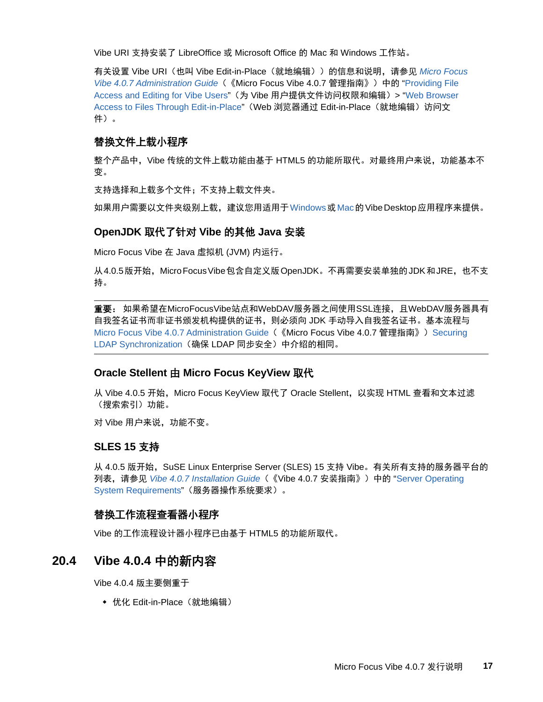Vibe URI 支持安装了 LibreOffice 或 Microsoft Office 的 Mac 和 Windows 工作站。

有关设置 Vibe URI(也叫 Vibe Edit-in-Place(就地编辑))的信息和说明,请参见 *Micro Focus Vibe 4.0.7 Administration Guide*(《Micro Focus Vibe 4.0.7 管理指南》)中的 "Providing File Access and Editing for Vibe Users"(为 Vibe 用户提供文件访问权限和编辑)> "Web Browser Access to Files Through Edit-in-Place" (Web 浏览器通过 Edit-in-Place (就地编辑) 访问文 件)。

#### <span id="page-16-1"></span>替换文件上载小程序

整个产品中,Vibe 传统的文件上载功能由基于 HTML5 的功能所取代。对最终用户来说, 功能基本不 变。

支持选择和上载多个文件;不支持上载文件夹。

如果用户需要以文件夹级别上载,建议您用适用于Windows或Mac的 Vibe Desktop 应用程序来提供。

#### <span id="page-16-2"></span>**OpenJDK** 取代了针对 **Vibe** 的其他 **Java** 安装

Micro Focus Vibe 在 Java 虚拟机 (JVM) 内运行。

从 4.0.5 版开始,Micro Focus Vibe 包含自定义版 OpenJDK。不再需要安装单独的 JDK 和 JRE,也不支 持。

重要:如果希望在MicroFocusVibe站点和WebDAV服务器之间使用SSL连接,且WebDAV服务器具有 自我签名证书而非证书颁发机构提供的证书,则必须向 JDK 手动导入自我签名证书。基本流程与 Micro Focus Vibe 4.0.7 Administration Guide (《Micro Focus Vibe 4.0.7 管理指南》) Securing LDAP Synchronization (确保 LDAP 同步安全) 中介绍的相同。

#### <span id="page-16-3"></span>**Oracle Stellent** 由 **Micro Focus KeyView** 取代

从 Vibe 4.0.5 开始,Micro Focus KeyView 取代了 Oracle Stellent,以实现 HTML 查看和文本过滤 (搜索索引)功能。

对 Vibe 用户来说, 功能不变。

#### <span id="page-16-4"></span>**SLES 15** 支持

从 4.0.5 版开始, SuSE Linux Enterprise Server (SLES) 15 支持 Vibe。有关所有支持的服务器平台的 列表,请参见 *Vibe 4.0.7 Installation Guide*(《Vibe 4.0.7 安装指南》)中的 "Server Operating System Requirements"(服务器操作系统要求)。

#### <span id="page-16-5"></span>替换工作流程查看器小程序

Vibe 的工作流程设计器小程序已由基于 HTML5 的功能所取代。

#### <span id="page-16-0"></span>**20.4 Vibe 4.0.4** 中的新内容

Vibe 4.0.4 版主要侧重于

◆ 优化 Edit-in-Place (就地编辑)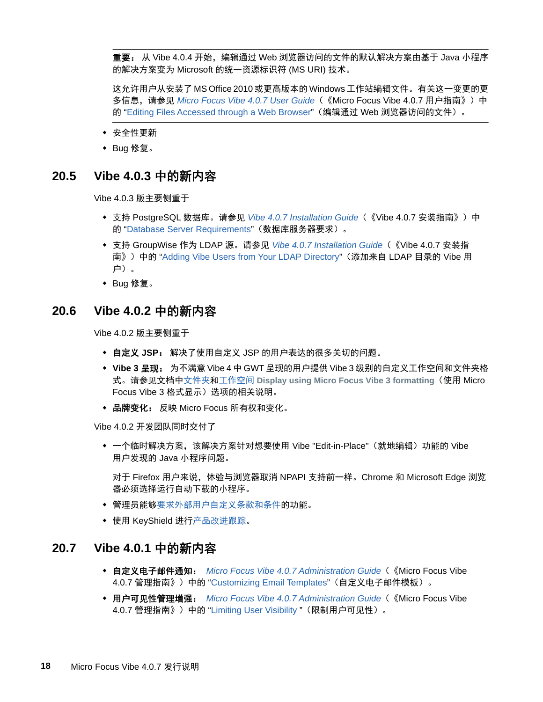重要: 从 Vibe 4.0.4 开始, 编辑通过 Web 浏览器访问的文件的默认解决方案由基于 Java 小程序 的解决方案变为 Microsoft 的统一资源标识符 (MS URI) 技术。

这允许用户从安装了 MS Office 2010 或更高版本的 Windows 工作站编辑文件。有关这一变更的更 多信息,请参见 *Micro Focus Vibe 4.0.7 User Guide*(《Micro Focus Vibe 4.0.7 用户指南》)中 的 "Editing Files Accessed through a Web Browser"(编辑通过 Web 浏览器访问的文件)。

- 安全性更新
- ◆ Bug 修复。

#### <span id="page-17-0"></span>**20.5 Vibe 4.0.3** 中的新内容

Vibe 4.0.3 版主要侧重于

- 支持 PostgreSQL 数据库。请参见 *Vibe 4.0.7 Installation Guide*(《Vibe 4.0.7 安装指南》)中 的 "Database Server Requirements"(数据库服务器要求)。
- 支持 GroupWise 作为 LDAP 源。请参见 *Vibe 4.0.7 Installation Guide*(《Vibe 4.0.7 安装指 南》)中的 "Adding Vibe Users from Your LDAP Directory"(添加来自 LDAP 目录的 Vibe 用 户)。
- ◆ Bug 修复。

#### <span id="page-17-1"></span>**20.6 Vibe 4.0.2** 中的新内容

Vibe 4.0.2 版主要侧重于

- 自定义 **JSP**: 解决了使用自定义 JSP 的用户表达的很多关切的问题。
- **Vibe 3** 呈现: 为不满意 Vibe 4 中 GWT 呈现的用户提供 Vibe 3 级别的自定义工作空间和文件夹格 式。请参见文档中文件夹和工作空间 **Display using Micro Focus Vibe 3 formatting**(使用 Micro Focus Vibe 3 格式显示) 选项的相关说明。
- ◆ 品牌变化: 反映 Micro Focus 所有权和变化。

Vibe 4.0.2 开发团队同时交付了

◆ 一个临时解决方案,该解决方案针对想要使用 Vibe "Edit-in-Place"(就地编辑)功能的 Vibe 用户发现的 Java 小程序问题。

对于 Firefox 用户来说,体验与浏览器取消 NPAPI 支持前一样。Chrome 和 Microsoft Edge 浏览 器必须选择运行自动下载的小程序。

- 管理员能够要求外部用户自定义条款和条件的功能。
- 使用 KeyShield 进行产品改进跟踪。

#### <span id="page-17-2"></span>**20.7 Vibe 4.0.1** 中的新内容

- 自定义电子邮件通知:*Micro Focus Vibe 4.0.7 Administration Guide*(《Micro Focus Vibe 4.0.7 管理指南》)中的 "Customizing Email Templates"(自定义电子邮件模板)。
- 用户可见性管理增强:*Micro Focus Vibe 4.0.7 Administration Guide*(《Micro Focus Vibe 4.0.7 管理指南》)中的 "Limiting User Visibility "(限制用户可见性)。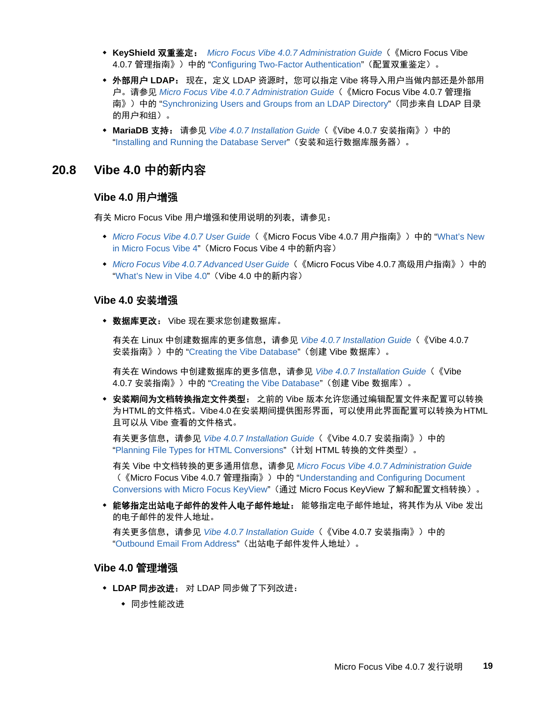- **KeyShield** 双重鉴定:*Micro Focus Vibe 4.0.7 Administration Guide*(《Micro Focus Vibe 4.0.7 管理指南》)中的 "Configuring Two-Factor Authentication"(配置双重鉴定)。
- ◆ 外部用户 LDAP: 现在,定义 LDAP 资源时,您可以指定 Vibe 将导入用户当做内部还是外部用 户。请参见 *Micro Focus Vibe 4.0.7 Administration Guide*(《Micro Focus Vibe 4.0.7 管理指 南》)中的 "Synchronizing Users and Groups from an LDAP Directory"(同步来自 LDAP 目录 的用户和组)。
- **MariaDB** 支持: 请参见 *Vibe 4.0.7 Installation Guide*(《Vibe 4.0.7 安装指南》)中的 "Installing and Running the Database Server"(安装和运行数据库服务器)。

#### <span id="page-18-0"></span>**20.8 Vibe 4.0** 中的新内容

#### **Vibe 4.0** 用户增强

有关 Micro Focus Vibe 用户增强和使用说明的列表,请参见:

- ◆ *Micro Focus Vibe 4.0.7 User Guide* (《Micro Focus Vibe 4.0.7 用户指南》)中的 "What's New in Micro Focus Vibe 4"(Micro Focus Vibe 4 中的新内容)
- *Micro Focus Vibe 4.0.7 Advanced User Guide*(《Micro Focus Vibe 4.0.7 高级用户指南》)中的 "What's New in Vibe 4.0"(Vibe 4.0 中的新内容)

#### **Vibe 4.0** 安装增强

◆ 数据库更改: Vibe 现在要求您创建数据库。

有关在 Linux 中创建数据库的更多信息,请参见 *Vibe 4.0.7 Installation Guide*(《Vibe 4.0.7 安装指南》)中的 "Creating the Vibe Database"(创建 Vibe 数据库)。

有关在 Windows 中创建数据库的更多信息,请参见 *Vibe 4.0.7 Installation Guide*(《Vibe 4.0.7 安装指南》)中的 "Creating the Vibe Database"(创建 Vibe 数据库)。

 安装期间为文档转换指定文件类型: 之前的 Vibe 版本允许您通过编辑配置文件来配置可以转换 为 HTML 的文件格式。Vibe 4.0 在安装期间提供图形界面,可以使用此界面配置可以转换为 HTML 且可以从 Vibe 查看的文件格式。

有关更多信息,请参见 *Vibe 4.0.7 Installation Guide*(《Vibe 4.0.7 安装指南》)中的 "Planning File Types for HTML Conversions"(计划 HTML 转换的文件类型)。

有关 Vibe 中文档转换的更多通用信息,请参见 *Micro Focus Vibe 4.0.7 Administration Guide* (《Micro Focus Vibe 4.0.7 管理指南》)中的 "Understanding and Configuring Document Conversions with Micro Focus KeyView"(通过 Micro Focus KeyView 了解和配置文档转换)。

 能够指定出站电子邮件的发件人电子邮件地址: 能够指定电子邮件地址,将其作为从 Vibe 发出 的电子邮件的发件人地址。

有关更多信息,请参见 *Vibe 4.0.7 Installation Guide*(《Vibe 4.0.7 安装指南》)中的 "Outbound Email From Address"(出站电子邮件发件人地址)。

#### **Vibe 4.0** 管理增强

- **LDAP** 同步改进: 对 LDAP 同步做了下列改进:
	- 同步性能改进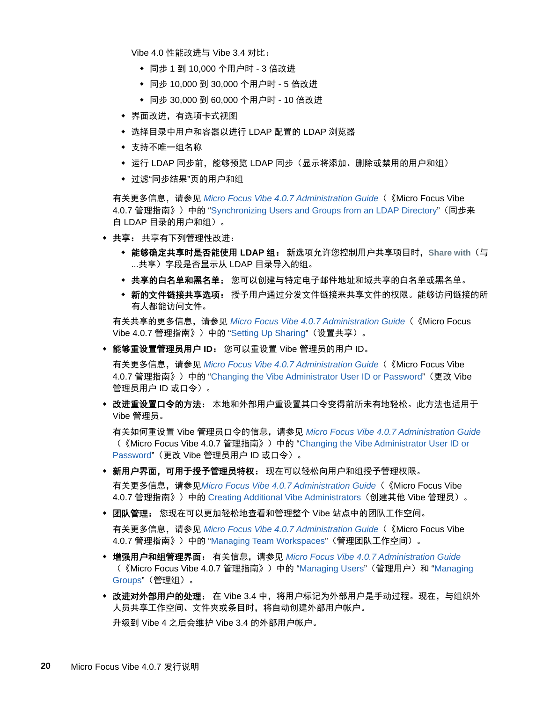Vibe 4.0 性能改进与 Vibe 3.4 对比:

- 同步 1 到 10,000 个用户时 3 倍改进
- ◆ 同步 10,000 到 30,000 个用户时 5 倍改进
- 同步 30,000 到 60,000 个用户时 10 倍改进
- 界面改进,有选项卡式视图
- 选择目录中用户和容器以进行 LDAP 配置的 LDAP 浏览器
- 支持不唯一组名称
- ◆ 运行 LDAP 同步前,能够预览 LDAP 同步(显示将添加、删除或禁用的用户和组)
- 过滤"同步结果"页的用户和组

有关更多信息,请参见 *Micro Focus Vibe 4.0.7 Administration Guide*(《Micro Focus Vibe 4.0.7 管理指南》)中的 "Synchronizing Users and Groups from an LDAP Directory"(同步来 自 LDAP 目录的用户和组)。

- 共享: 共享有下列管理性改进:
	- 能够确定共享时是否能使用 **LDAP** 组: 新选项允许您控制用户共享项目时,**Share with**(与 ...共享)字段是否显示从 LDAP 目录导入的组。
	- 共享的白名单和黑名单: 您可以创建与特定电子邮件地址和域共享的白名单或黑名单。
	- \* 新的文件链接共享选项: 授予用户通过分发文件链接来共享文件的权限。能够访问链接的所 有人都能访问文件。

有关共享的更多信息,请参见 *Micro Focus Vibe 4.0.7 Administration Guide*(《Micro Focus Vibe 4.0.7 管理指南》)中的 "Setting Up Sharing"(设置共享)。

能够重设置管理员用户 **ID**: 您可以重设置 Vibe 管理员的用户 ID。

有关更多信息,请参见 *Micro Focus Vibe 4.0.7 Administration Guide*(《Micro Focus Vibe 4.0.7 管理指南》)中的 "Changing the Vibe Administrator User ID or Password"(更改 Vibe 管理员用户 ID 或口令)。

 改进重设置口令的方法: 本地和外部用户重设置其口令变得前所未有地轻松。此方法也适用于 Vibe 管理员。

有关如何重设置 Vibe 管理员口令的信息,请参见 *Micro Focus Vibe 4.0.7 Administration Guide* (《Micro Focus Vibe 4.0.7 管理指南》)中的 "Changing the Vibe Administrator User ID or Password"(更改 Vibe 管理员用户 ID 或口令)。

- 新用户界面,可用于授予管理员特权: 现在可以轻松向用户和组授予管理权限。 有关更多信息,请参见*Micro Focus Vibe 4.0.7 Administration Guide*(《Micro Focus Vibe 4.0.7 管理指南》)中的 Creating Additional Vibe Administrators (创建其他 Vibe 管理员)。
- 团队管理: 您现在可以更加轻松地查看和管理整个 Vibe 站点中的团队工作空间。

有关更多信息,请参见 *Micro Focus Vibe 4.0.7 Administration Guide*(《Micro Focus Vibe 4.0.7 管理指南》)中的 "Managing Team Workspaces"(管理团队工作空间)。

- 增强用户和组管理界面: 有关信息,请参见 *Micro Focus Vibe 4.0.7 Administration Guide* (《Micro Focus Vibe 4.0.7 管理指南》)中的 "Managing Users"(管理用户)和 "Managing Groups"(管理组)。
- ◆ 改进对外部用户的处理: 在 Vibe 3.4 中, 将用户标记为外部用户是手动过程。现在, 与组织外 人员共享工作空间、文件夹或条目时,将自动创建外部用户帐户。 升级到 Vibe 4 之后会维护 Vibe 3.4 的外部用户帐户。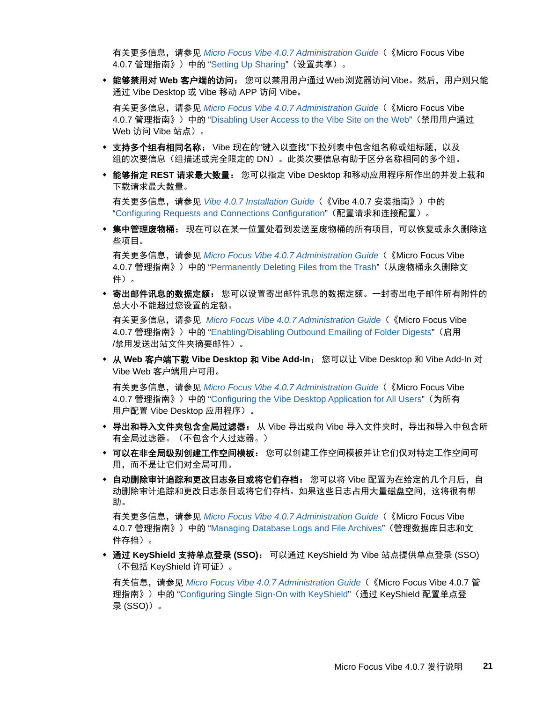有关更多信息,请参见 *Micro Focus Vibe 4.0.7 Administration Guide*(《Micro Focus Vibe 4.0.7 管理指南》)中的 "Setting Up Sharing"(设置共享)。

 能够禁用对 **Web** 客户端的访问: 您可以禁用用户通过 Web 浏览器访问 Vibe。然后,用户则只能 通过 Vibe Desktop 或 Vibe 移动 APP 访问 Vibe。

有关更多信息,请参见 *Micro Focus Vibe 4.0.7 Administration Guide*(《Micro Focus Vibe 4.0.7 管理指南》)中的 "Disabling User Access to the Vibe Site on the Web"(禁用用户通过 Web 访问 Vibe 站点)。

- 支持多个组有相同名称: Vibe 现在的"键入以查找"下拉列表中包含组名称或组标题,以及 组的次要信息(组描述或完全限定的 DN)。此类次要信息有助于区分名称相同的多个组。
- 能够指定 **REST** 请求最大数量: 您可以指定 Vibe Desktop 和移动应用程序所作出的并发上载和 下载请求最大数量。

有关更多信息,请参见 *Vibe 4.0.7 Installation Guide*(《Vibe 4.0.7 安装指南》)中的 "Configuring Requests and Connections Configuration"(配置请求和连接配置)。

\* 集中管理废物桶: 现在可以在某一位置处看到发送至废物桶的所有项目,可以恢复或永久删除这 些项目。

有关更多信息,请参见 *Micro Focus Vibe 4.0.7 Administration Guide*(《Micro Focus Vibe 4.0.7 管理指南》)中的 "Permanently Deleting Files from the Trash" (从废物桶永久删除文 件)。

 寄出邮件讯息的数据定额: 您可以设置寄出邮件讯息的数据定额。一封寄出电子邮件所有附件的 总大小不能超过您设置的定额。

有关更多信息,请参见 *Micro Focus Vibe 4.0.7 Administration Guide*(《Micro Focus Vibe 4.0.7 管理指南》)中的 "Enabling/Disabling Outbound Emailing of Folder Digests"(启用 /禁用发送出站文件夹摘要邮件)。

 从 **Web** 客户端下载 **Vibe Desktop** 和 **Vibe Add-In**: 您可以让 Vibe Desktop 和 Vibe Add-In 对 Vibe Web 客户端用户可用。

有关更多信息,请参见 *Micro Focus Vibe 4.0.7 Administration Guide*(《Micro Focus Vibe 4.0.7 管理指南》)中的 "Configuring the Vibe Desktop Application for All Users" (为所有 用户配置 Vibe Desktop 应用程序)。

- ◆ 导出和导入文件夹包含全局过滤器: 从 Vibe 导出或向 Vibe 导入文件夹时, 导出和导入中包含所 有全局过滤器。(不包含个人过滤器。)
- 可以在非全局级别创建工作空间模板: 您可以创建工作空间模板并让它们仅对特定工作空间可 用,而不是让它们对全局可用。
- 自动删除审计追踪和更改日志条目或将它们存档: 您可以将 Vibe 配置为在给定的几个月后,自 动删除审计追踪和更改日志条目或将它们存档。如果这些日志占用大量磁盘空间,这将很有帮 助。

有关更多信息,请参见 *Micro Focus Vibe 4.0.7 Administration Guide*(《Micro Focus Vibe 4.0.7 管理指南》)中的 "Managing Database Logs and File Archives"(管理数据库日志和文 件存档)。

 通过 **KeyShield** 支持单点登录 **(SSO)**: 可以通过 KeyShield 为 Vibe 站点提供单点登录 (SSO) (不包括 KeyShield 许可证)。

有关信息,请参见 *Micro Focus Vibe 4.0.7 Administration Guide*(《Micro Focus Vibe 4.0.7 管 理指南》)中的 "Configuring Single Sign-On with KeyShield"(通过 KeyShield 配置单点登 录 (SSO))。